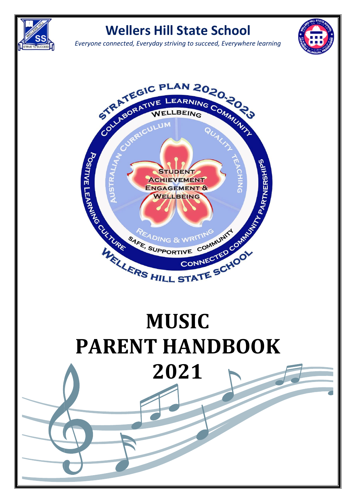

## **Wellers Hill State School**

*Everyone connected, Everyday striving to succeed, Everywhere learning*





# **PARENT HANDBOOK 2021**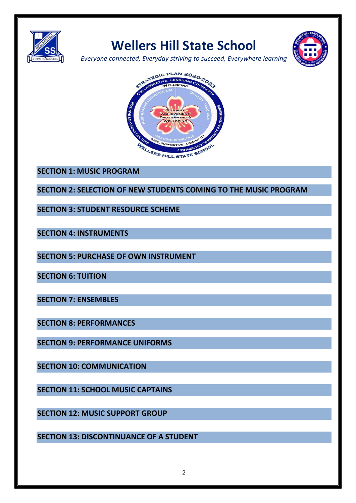

# **Wellers Hill State School**



*Everyone connected, Everyday striving to succeed, Everywhere learning*



**SECTION 1: MUSIC PROGRAM**

**SECTION 2: SELECTION OF NEW STUDENTS COMING TO THE MUSIC PROGRAM**

**SECTION 3: STUDENT RESOURCE SCHEME**

**SECTION 4: INSTRUMENTS**

**SECTION 5: PURCHASE OF OWN INSTRUMENT**

**SECTION 6: TUITION**

**SECTION 7: ENSEMBLES**

**SECTION 8: PERFORMANCES**

**SECTION 9: PERFORMANCE UNIFORMS**

**SECTION 10: COMMUNICATION**

**SECTION 11: SCHOOL MUSIC CAPTAINS**

**SECTION 12: MUSIC SUPPORT GROUP**

**SECTION 13: DISCONTINUANCE OF A STUDENT**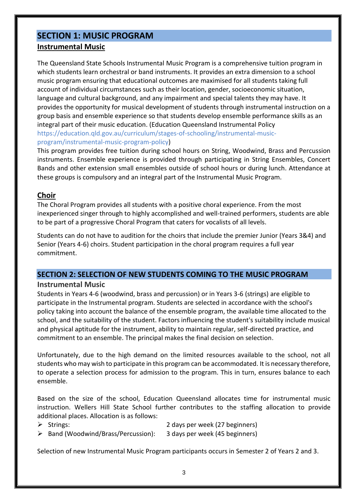## **SECTION 1: MUSIC PROGRAM Instrumental Music**

The Queensland State Schools Instrumental Music Program is a comprehensive tuition program in which students learn orchestral or band instruments. It provides an extra dimension to a school music program ensuring that educational outcomes are maximised for all students taking full account of individual circumstances such as their location, gender, socioeconomic situation, language and cultural background, and any impairment and special talents they may have. It provides the opportunity for musical development of students through instrumental instruction on a group basis and ensemble experience so that students develop ensemble performance skills as an integral part of their music education. (Education Queensland Instrumental Policy [https://education.qld.gov.au/curriculum/stages-of-schooling/instrumental-music](https://education.qld.gov.au/curriculum/stages-of-schooling/instrumental-music-program/instrumental-music-program-policy)[program/instrumental-music-program-policy\)](https://education.qld.gov.au/curriculum/stages-of-schooling/instrumental-music-program/instrumental-music-program-policy)

This program provides free tuition during school hours on String, Woodwind, Brass and Percussion instruments. Ensemble experience is provided through participating in String Ensembles, Concert Bands and other extension small ensembles outside of school hours or during lunch. Attendance at these groups is compulsory and an integral part of the Instrumental Music Program.

## **Choir**

The Choral Program provides all students with a positive choral experience. From the most inexperienced singer through to highly accomplished and well-trained performers, students are able to be part of a progressive Choral Program that caters for vocalists of all levels.

Students can do not have to audition for the choirs that include the premier Junior (Years 3&4) and Senior (Years 4-6) choirs. Student participation in the choral program requires a full year commitment.

## **SECTION 2: SELECTION OF NEW STUDENTS COMING TO THE MUSIC PROGRAM**

## **Instrumental Music**

Students in Years 4-6 (woodwind, brass and percussion) or in Years 3-6 (strings) are eligible to participate in the Instrumental program. Students are selected in accordance with the school's policy taking into account the balance of the ensemble program, the available time allocated to the school, and the suitability of the student. Factors influencing the student's suitability include musical and physical aptitude for the instrument, ability to maintain regular, self-directed practice, and commitment to an ensemble. The principal makes the final decision on selection.

Unfortunately, due to the high demand on the limited resources available to the school, not all students who may wish to participate in this program can be accommodated. It is necessary therefore, to operate a selection process for admission to the program. This in turn, ensures balance to each ensemble.

Based on the size of the school, Education Queensland allocates time for instrumental music instruction. Wellers Hill State School further contributes to the staffing allocation to provide additional places. Allocation is as follows:

- ➢ Strings: 2 days per week (27 beginners)
- ➢ Band (Woodwind/Brass/Percussion): 3 days per week (45 beginners)

Selection of new Instrumental Music Program participants occurs in Semester 2 of Years 2 and 3.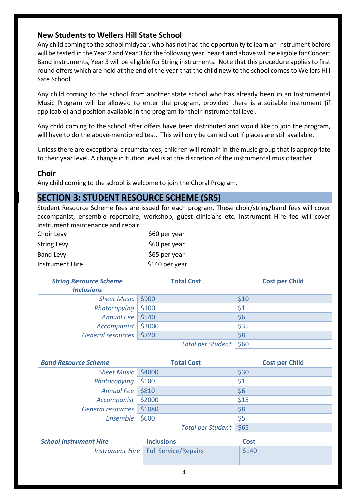## **New Students to Wellers Hill State School**

Any child coming to the school midyear, who has not had the opportunity to learn an instrument before will be tested in the Year 2 and Year 3 for the following year. Year 4 and above will be eligible for Concert Band instruments, Year 3 will be eligible for String instruments. Note that this procedure applies to first round offers which are held at the end of the year that the child new to the school comes to Wellers Hill Sate School.

Any child coming to the school from another state school who has already been in an Instrumental Music Program will be allowed to enter the program, provided there is a suitable instrument (if applicable) and position available in the program for their instrumental level.

Any child coming to the school after offers have been distributed and would like to join the program, will have to do the above-mentioned test. This will only be carried out if places are still available.

Unless there are exceptional circumstances, children will remain in the music group that is appropriate to their year level. A change in tuition level is at the discretion of the instrumental music teacher.

## **Choir**

Any child coming to the school is welcome to join the Choral Program.

## **SECTION 3: STUDENT RESOURCE SCHEME (SRS)**

Student Resource Scheme fees are issued for each program. These choir/string/band fees will cover accompanist, ensemble repertoire, workshop, guest clinicians etc. Instrument Hire fee will cover instrument maintenance and repair.

| Choir Levy         | \$60 per year  |
|--------------------|----------------|
| <b>String Levy</b> | \$60 per year  |
| <b>Band Levy</b>   | \$65 per year  |
| Instrument Hire    | \$140 per year |

| <b>String Resource Scheme</b><br><b>Inclusions</b> | <b>Total Cost</b>        | <b>Cost per Child</b> |
|----------------------------------------------------|--------------------------|-----------------------|
| Sheet Music   \$900                                |                          | \$10                  |
| Photocopying $\vert$ \$100                         |                          | \$1                   |
| Annual Fee   \$540                                 |                          | \$6                   |
| Accompanist   \$3000                               |                          | \$35                  |
| General resources   \$720                          |                          | \$8                   |
|                                                    | Total per Student   \$60 |                       |

| <b>Band Resource Scheme</b> | <b>Total Cost</b> | <b>Cost per Child</b> |  |
|-----------------------------|-------------------|-----------------------|--|
| Sheet Music   \$4000        |                   | \$30                  |  |
| Photocopying $\vert$ \$100  |                   | \$1                   |  |
| Annual Fee   \$810          |                   | \$6                   |  |
| Accompanist   \$2000        |                   | \$15                  |  |
| General resources \$1080    |                   | \$8                   |  |
| Ensemble                    | \$600             | \$5                   |  |
|                             | Total per Student | \$65                  |  |

| <b>School Instrument Hire</b> | <b>Inclusions</b>                      | Cost  |  |  |
|-------------------------------|----------------------------------------|-------|--|--|
|                               | Instrument Hire   Full Service/Repairs | \$140 |  |  |
|                               |                                        |       |  |  |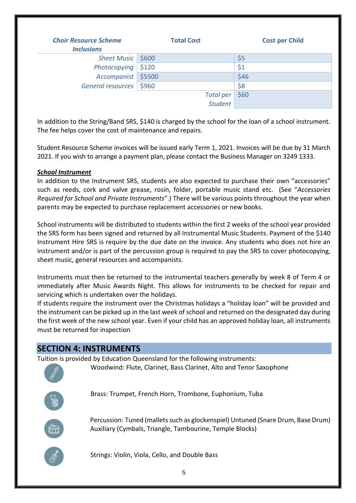| <b>Choir Resource Scheme</b><br><b>Inclusions</b> | <b>Total Cost</b> | <b>Cost per Child</b> |
|---------------------------------------------------|-------------------|-----------------------|
| Sheet Music   \$600                               |                   | \$5                   |
| Photocopying $\vert$ \$120                        |                   | \$1                   |
| Accompanist \$5500                                |                   | \$46                  |
| General resources                                 | \$960             | \$8                   |
|                                                   | <b>Total per</b>  | \$60                  |
|                                                   | <b>Student</b>    |                       |

In addition to the String/Band SRS, \$140 is charged by the school for the loan of a school instrument. The fee helps cover the cost of maintenance and repairs.

Student Resource Scheme invoices will be issued early Term 1, 2021. Invoices will be due by 31 March 2021. If you wish to arrange a payment plan, please contact the Business Manager on 3249 1333.

## *School Instrument*

In addition to the Instrument SRS, students are also expected to purchase their own "accessories" such as reeds, cork and valve grease, rosin, folder, portable music stand etc. (See "*Accessories Required for School and Private Instruments*".) There will be various points throughout the year when parents may be expected to purchase replacement accessories or new books.

School instruments will be distributed to students within the first 2 weeks of the school year provided the SRS form has been signed and returned by all Instrumental Music Students. Payment of the \$140 Instrument Hire SRS is require by the due date on the invoice. Any students who does not hire an instrument and/or is part of the percussion group is required to pay the SRS to cover photocopying, sheet music, general resources and accompanists.

Instruments must then be returned to the instrumental teachers generally by week 8 of Term 4 or immediately after Music Awards Night. This allows for instruments to be checked for repair and servicing which is undertaken over the holidays.

If students require the instrument over the Christmas holidays a "holiday loan" will be provided and the instrument can be picked up in the last week of school and returned on the designated day during the first week of the new school year. Even if your child has an approved holiday loan, all instruments must be returned for inspection

## **SECTION 4: INSTRUMENTS**

Tuition is provided by Education Queensland for the following instruments:

Woodwind: Flute, Clarinet, Bass Clarinet, Alto and Tenor Saxophone

Brass: Trumpet, French Horn, Trombone, Euphonium, Tuba



 Percussion: Tuned (mallets such as glockenspiel) Untuned (Snare Drum, Base Drum) Auxiliary (Cymbals, Triangle, Tambourine, Temple Blocks)



Strings: Violin, Viola, Cello, and Double Bass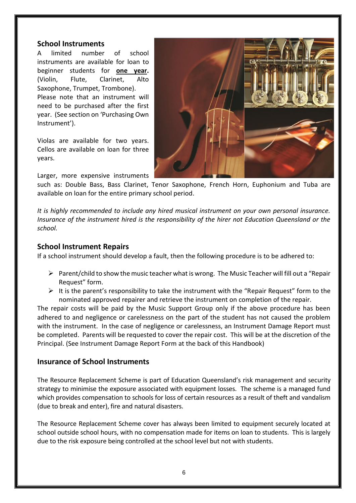## **School Instruments**

A limited number of school instruments are available for loan to beginner students for **one year.** (Violin, Flute, Clarinet, Alto Saxophone, Trumpet, Trombone). Please note that an instrument will need to be purchased after the first year. (See section on 'Purchasing Own Instrument').

Violas are available for two years. Cellos are available on loan for three years.

Larger, more expensive instruments



such as: Double Bass, Bass Clarinet, Tenor Saxophone, French Horn, Euphonium and Tuba are available on loan for the entire primary school period.

*It is highly recommended to include any hired musical instrument on your own personal insurance. Insurance of the instrument hired is the responsibility of the hirer not Education Queensland or the school.* 

## **School Instrument Repairs**

If a school instrument should develop a fault, then the following procedure is to be adhered to:

- ➢ Parent/child to show the music teacher what is wrong. The Music Teacher will fill out a "Repair Request" form.
- $\triangleright$  It is the parent's responsibility to take the instrument with the "Repair Request" form to the nominated approved repairer and retrieve the instrument on completion of the repair.

The repair costs will be paid by the Music Support Group only if the above procedure has been adhered to and negligence or carelessness on the part of the student has not caused the problem with the instrument. In the case of negligence or carelessness, an Instrument Damage Report must be completed. Parents will be requested to cover the repair cost. This will be at the discretion of the Principal. (See Instrument Damage Report Form at the back of this Handbook)

## **Insurance of School Instruments**

The Resource Replacement Scheme is part of Education Queensland's risk management and security strategy to minimise the exposure associated with equipment losses. The scheme is a managed fund which provides compensation to schools for loss of certain resources as a result of theft and vandalism (due to break and enter), fire and natural disasters.

The Resource Replacement Scheme cover has always been limited to equipment securely located at school outside school hours, with no compensation made for items on loan to students. This is largely due to the risk exposure being controlled at the school level but not with students.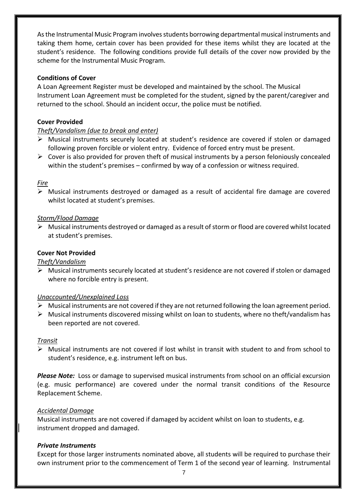As the Instrumental Music Program involves students borrowing departmental musical instruments and taking them home, certain cover has been provided for these items whilst they are located at the student's residence. The following conditions provide full details of the cover now provided by the scheme for the Instrumental Music Program.

## **Conditions of Cover**

A Loan Agreement Register must be developed and maintained by the school. The Musical Instrument Loan Agreement must be completed for the student, signed by the parent/caregiver and returned to the school. Should an incident occur, the police must be notified.

## **Cover Provided**

## *Theft/Vandalism (due to break and enter)*

- ➢ Musical instruments securely located at student's residence are covered if stolen or damaged following proven forcible or violent entry. Evidence of forced entry must be present.
- $\triangleright$  Cover is also provided for proven theft of musical instruments by a person feloniously concealed within the student's premises – confirmed by way of a confession or witness required.

## *Fire*

➢ Musical instruments destroyed or damaged as a result of accidental fire damage are covered whilst located at student's premises.

## *Storm/Flood Damage*

➢ Musical instruments destroyed or damaged as a result of storm or flood are covered whilst located at student's premises.

## **Cover Not Provided**

#### *Theft/Vandalism*

➢ Musical instruments securely located at student's residence are not covered if stolen or damaged where no forcible entry is present.

#### *Unaccounted/Unexplained Loss*

- $\triangleright$  Musical instruments are not covered if they are not returned following the loan agreement period.
- ➢ Musical instruments discovered missing whilst on loan to students, where no theft/vandalism has been reported are not covered.

#### *Transit*

➢ Musical instruments are not covered if lost whilst in transit with student to and from school to student's residence, e.g. instrument left on bus.

*Please Note:* Loss or damage to supervised musical instruments from school on an official excursion (e.g. music performance) are covered under the normal transit conditions of the Resource Replacement Scheme.

#### *Accidental Damage*

Musical instruments are not covered if damaged by accident whilst on loan to students, e.g. instrument dropped and damaged.

## *Private Instruments*

Except for those larger instruments nominated above, all students will be required to purchase their own instrument prior to the commencement of Term 1 of the second year of learning. Instrumental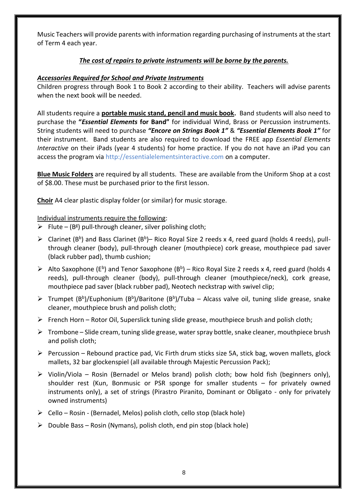Music Teachers will provide parents with information regarding purchasing of instruments at the start of Term 4 each year.

## *The cost of repairs to private instruments will be borne by the parents.*

## *Accessories Required for School and Private Instruments*

Children progress through Book 1 to Book 2 according to their ability. Teachers will advise parents when the next book will be needed.

All students require a **portable music stand, pencil and music book.** Band students will also need to purchase the **"***Essential Elements* **for Band"** for individual Wind, Brass or Percussion instruments. String students will need to purchase *"Encore on Strings Book 1"* & *"Essential Elements Book 1"* for their instrument. Band students are also required to download the FREE app *Essential Elements Interactive* on their iPads (year 4 students) for home practice. If you do not have an iPad you can access the program vi[a http://essentialelementsinteractive.com](http://essentialelementsinteractive.com/) on a computer.

**Blue Music Folders** are required by all students. These are available from the Uniform Shop at a cost of \$8.00. These must be purchased prior to the first lesson.

**Choir** A4 clear plastic display folder (or similar) for music storage.

## Individual instruments require the following:

- $\triangleright$  Flute (B<sup>g</sup>) pull-through cleaner, silver polishing cloth;
- > Clarinet (B<sup>b</sup>) and Bass Clarinet (B<sup>b</sup>)– Rico Royal Size 2 reeds x 4, reed guard (holds 4 reeds), pullthrough cleaner (body), pull-through cleaner (mouthpiece) cork grease, mouthpiece pad saver (black rubber pad), thumb cushion;
- Alto Saxophone (E<sup>b</sup>) and Tenor Saxophone (B<sup>b</sup>) Rico Royal Size 2 reeds x 4, reed guard (holds 4 reeds), pull-through cleaner (body), pull-through cleaner (mouthpiece/neck), cork grease, mouthpiece pad saver (black rubber pad), Neotech neckstrap with swivel clip;
- $\triangleright$  Trumpet (B<sup>b</sup>)/Euphonium (B<sup>b</sup>)/Baritone (B<sup>b</sup>)/Tuba Alcass valve oil, tuning slide grease, snake cleaner, mouthpiece brush and polish cloth;
- $\triangleright$  French Horn Rotor Oil, Superslick tuning slide grease, mouthpiece brush and polish cloth;
- $\triangleright$  Trombone Slide cream, tuning slide grease, water spray bottle, snake cleaner, mouthpiece brush and polish cloth;
- $\triangleright$  Percussion Rebound practice pad, Vic Firth drum sticks size 5A, stick bag, woven mallets, glock mallets, 32 bar glockenspiel (all available through Majestic Percussion Pack);
- $\triangleright$  Violin/Viola Rosin (Bernadel or Melos brand) polish cloth; bow hold fish (beginners only), shoulder rest (Kun, Bonmusic or PSR sponge for smaller students – for privately owned instruments only), a set of strings (Pirastro Piranito, Dominant or Obligato - only for privately owned instruments)
- $\triangleright$  Cello Rosin (Bernadel, Melos) polish cloth, cello stop (black hole)
- $\triangleright$  Double Bass Rosin (Nymans), polish cloth, end pin stop (black hole)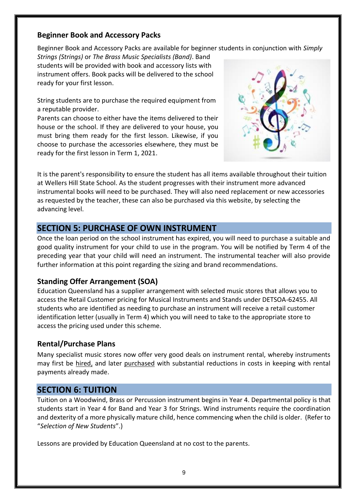## **Beginner Book and Accessory Packs**

Beginner Book and Accessory Packs are available for beginner students in conjunction with *Simply* 

*Strings (Strings)* or *The Brass Music Specialists (Band)*. Band students will be provided with book and accessory lists with instrument offers. Book packs will be delivered to the school ready for your first lesson.

String students are to purchase the required equipment from a reputable provider.

Parents can choose to either have the items delivered to their house or the school. If they are delivered to your house, you must bring them ready for the first lesson. Likewise, if you choose to purchase the accessories elsewhere, they must be ready for the first lesson in Term 1, 2021.



It is the parent's responsibility to ensure the student has all items available throughout their tuition at Wellers Hill State School. As the student progresses with their instrument more advanced instrumental books will need to be purchased. They will also need replacement or new accessories as requested by the teacher, these can also be purchased via this website, by selecting the advancing level.

## **SECTION 5: PURCHASE OF OWN INSTRUMENT**

Once the loan period on the school instrument has expired, you will need to purchase a suitable and good quality instrument for your child to use in the program. You will be notified by Term 4 of the preceding year that your child will need an instrument. The instrumental teacher will also provide further information at this point regarding the sizing and brand recommendations.

## **Standing Offer Arrangement (SOA)**

Education Queensland has a supplier arrangement with selected music stores that allows you to access the Retail Customer pricing for Musical Instruments and Stands under DETSOA-62455. All students who are identified as needing to purchase an instrument will receive a retail customer identification letter (usually in Term 4) which you will need to take to the appropriate store to access the pricing used under this scheme.

## **Rental/Purchase Plans**

Many specialist music stores now offer very good deals on instrument rental, whereby instruments may first be hired, and later purchased with substantial reductions in costs in keeping with rental payments already made.

## **SECTION 6: TUITION**

Tuition on a Woodwind, Brass or Percussion instrument begins in Year 4. Departmental policy is that students start in Year 4 for Band and Year 3 for Strings. Wind instruments require the coordination and dexterity of a more physically mature child, hence commencing when the child is older. (Refer to "*Selection of New Students*".)

Lessons are provided by Education Queensland at no cost to the parents.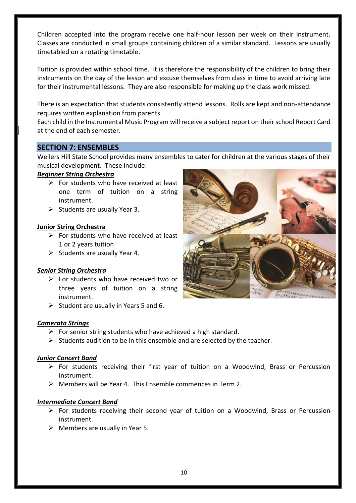Children accepted into the program receive one half-hour lesson per week on their instrument. Classes are conducted in small groups containing children of a similar standard. Lessons are usually timetabled on a rotating timetable.

Tuition is provided within school time. It is therefore the responsibility of the children to bring their instruments on the day of the lesson and excuse themselves from class in time to avoid arriving late for their instrumental lessons. They are also responsible for making up the class work missed.

There is an expectation that students consistently attend lessons. Rolls are kept and non-attendance requires written explanation from parents.

Each child in the Instrumental Music Program will receive a subject report on their school Report Card at the end of each semester.

## **SECTION 7: ENSEMBLES**

Wellers Hill State School provides many ensembles to cater for children at the various stages of their musical development. These include:

## *Beginner String Orchestra*

- $\triangleright$  For students who have received at least one term of tuition on a string instrument.
- $\triangleright$  Students are usually Year 3.

## **Junior String Orchestra**

- $\triangleright$  For students who have received at least 1 or 2 years tuition
- $\triangleright$  Students are usually Year 4.

#### *Senior String Orchestra*

- ➢ For students who have received two or three years of tuition on a string instrument.
- $\triangleright$  Student are usually in Years 5 and 6.

#### *Camerata Strings*

- $\triangleright$  For senior string students who have achieved a high standard.
- $\triangleright$  Students audition to be in this ensemble and are selected by the teacher.

#### *Junior Concert Band*

- ➢ For students receiving their first year of tuition on a Woodwind, Brass or Percussion instrument.
- $\triangleright$  Members will be Year 4. This Ensemble commences in Term 2.

#### *Intermediate Concert Band*

- $\triangleright$  For students receiving their second year of tuition on a Woodwind, Brass or Percussion instrument.
- $\triangleright$  Members are usually in Year 5.

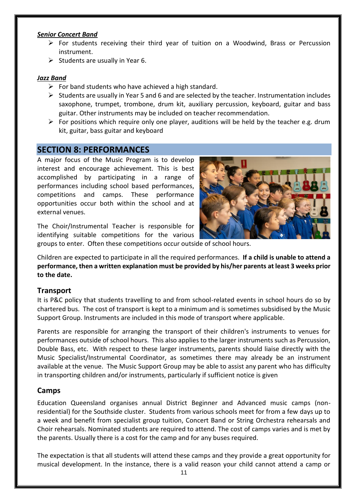#### *Senior Concert Band*

- $\triangleright$  For students receiving their third year of tuition on a Woodwind, Brass or Percussion instrument.
- $\triangleright$  Students are usually in Year 6.

#### *Jazz Band*

- $\triangleright$  For band students who have achieved a high standard.
- $\triangleright$  Students are usually in Year 5 and 6 and are selected by the teacher. Instrumentation includes saxophone, trumpet, trombone, drum kit, auxiliary percussion, keyboard, guitar and bass guitar. Other instruments may be included on teacher recommendation.
- $\triangleright$  For positions which require only one player, auditions will be held by the teacher e.g. drum kit, guitar, bass guitar and keyboard

## **SECTION 8: PERFORMANCES**

A major focus of the Music Program is to develop interest and encourage achievement. This is best accomplished by participating in a range of performances including school based performances, competitions and camps. These performance opportunities occur both within the school and at external venues.

The Choir/Instrumental Teacher is responsible for identifying suitable competitions for the various



groups to enter. Often these competitions occur outside of school hours.

Children are expected to participate in all the required performances. **If a child is unable to attend a performance, then a written explanation must be provided by his/her parents at least 3 weeks prior to the date.**

## **Transport**

It is P&C policy that students travelling to and from school-related events in school hours do so by chartered bus. The cost of transport is kept to a minimum and is sometimes subsidised by the Music Support Group. Instruments are included in this mode of transport where applicable.

Parents are responsible for arranging the transport of their children's instruments to venues for performances outside of school hours. This also applies to the larger instruments such as Percussion, Double Bass, etc. With respect to these larger instruments, parents should liaise directly with the Music Specialist/Instrumental Coordinator, as sometimes there may already be an instrument available at the venue. The Music Support Group may be able to assist any parent who has difficulty in transporting children and/or instruments, particularly if sufficient notice is given

## **Camps**

Education Queensland organises annual District Beginner and Advanced music camps (nonresidential) for the Southside cluster. Students from various schools meet for from a few days up to a week and benefit from specialist group tuition, Concert Band or String Orchestra rehearsals and Choir rehearsals. Nominated students are required to attend. The cost of camps varies and is met by the parents. Usually there is a cost for the camp and for any buses required.

The expectation is that all students will attend these camps and they provide a great opportunity for musical development. In the instance, there is a valid reason your child cannot attend a camp or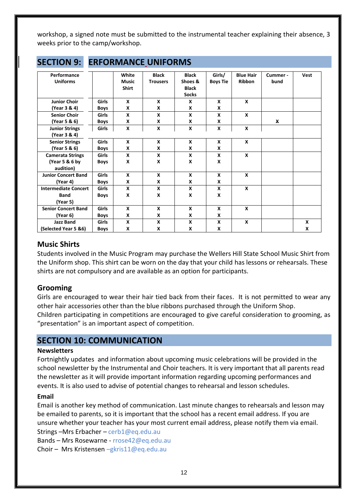workshop, a signed note must be submitted to the instrumental teacher explaining their absence, 3 weeks prior to the camp/workshop.

| <b>JLLIIUIV J.</b>          |              |              | <b>LIULUINIAIVUL UIVILUUIVIJ</b> |              |                 |                  |          |              |
|-----------------------------|--------------|--------------|----------------------------------|--------------|-----------------|------------------|----------|--------------|
| Performance                 |              | White        | <b>Black</b>                     | <b>Black</b> | Girls/          | <b>Blue Hair</b> | Cummer - | Vest         |
| <b>Uniforms</b>             |              | <b>Music</b> | <b>Trousers</b>                  | Shoes &      | <b>Boys Tie</b> | <b>Ribbon</b>    | bund     |              |
|                             |              | <b>Shirt</b> |                                  | <b>Black</b> |                 |                  |          |              |
|                             |              |              |                                  | <b>Socks</b> |                 |                  |          |              |
| <b>Junior Choir</b>         | <b>Girls</b> | $\mathsf{x}$ | X                                | X            | X               | $\mathbf{x}$     |          |              |
| (Year 3 & 4)                | <b>Boys</b>  | X            | X                                | X            | X               |                  |          |              |
| <b>Senior Choir</b>         | <b>Girls</b> | X            | X                                | X            | X               | $\mathbf{x}$     |          |              |
| (Year 5 & 6)                | <b>Boys</b>  | X            | X                                | X            | X               |                  | X        |              |
| <b>Junior Strings</b>       | Girls        | X            | X                                | X            | X               | X                |          |              |
| (Year 3 & 4)                |              |              |                                  |              |                 |                  |          |              |
| <b>Senior Strings</b>       | <b>Girls</b> | $\mathbf{x}$ | X                                | X            | X               | $\boldsymbol{x}$ |          |              |
| (Year 5 & 6)                | <b>Boys</b>  | X            | X                                | X            | X               |                  |          |              |
| <b>Camerata Strings</b>     | <b>Girls</b> | X            | X                                | X            | X               | $\mathbf{x}$     |          |              |
| (Year 5 & 6 by              | <b>Boys</b>  | X            | X                                | X            | X               |                  |          |              |
| audition)                   |              |              |                                  |              |                 |                  |          |              |
| <b>Junior Concert Band</b>  | <b>Girls</b> | X            | X                                | X            | X               | X                |          |              |
| (Year 4)                    | <b>Boys</b>  | X            | X                                | X            | X               |                  |          |              |
| <b>Intermediate Concert</b> | <b>Girls</b> | X            | X                                | X            | X               | X                |          |              |
| <b>Band</b>                 | <b>Boys</b>  | X            | X                                | X            | X               |                  |          |              |
| (Year 5)                    |              |              |                                  |              |                 |                  |          |              |
| <b>Senior Concert Band</b>  | <b>Girls</b> | X            | X                                | X            | X               | $\boldsymbol{x}$ |          |              |
| (Year 6)                    | <b>Boys</b>  | X            | X                                | X            | X               |                  |          |              |
| <b>Jazz Band</b>            | <b>Girls</b> | X            | X                                | X            | X               | X                |          | $\mathbf{x}$ |
| (Selected Year 5 &6)        | <b>Boys</b>  | X            | X                                | X            | X               |                  |          | X            |

## **SECTION 9: PERFORMANCE UNIFORMS**

## **Music Shirts**

Students involved in the Music Program may purchase the Wellers Hill State School Music Shirt from the Uniform shop. This shirt can be worn on the day that your child has lessons or rehearsals. These shirts are not compulsory and are available as an option for participants.

## **Grooming**

Girls are encouraged to wear their hair tied back from their faces. It is not permitted to wear any other hair accessories other than the blue ribbons purchased through the Uniform Shop. Children participating in competitions are encouraged to give careful consideration to grooming, as "presentation" is an important aspect of competition.

## **SECTION 10: COMMUNICATION**

#### **Newsletters**

Fortnightly updates and information about upcoming music celebrations will be provided in the school newsletter by the Instrumental and Choir teachers. It is very important that all parents read the newsletter as it will provide important information regarding upcoming performances and events. It is also used to advise of potential changes to rehearsal and lesson schedules.

## **Email**

Email is another key method of communication. Last minute changes to rehearsals and lesson may be emailed to parents, so it is important that the school has a recent email address. If you are unsure whether your teacher has your most current email address, please notify them via email.

Strings –Mrs Erbacher – [cerb1@eq.edu.au](mailto:cerb1@eq.edu.au)

Bands – Mrs Rosewarne - [rrose42@eq.edu.au](mailto:rrose42@eq.edu.au)

Choir – Mrs Kristensen –[gkris11@eq.edu.au](mailto:–gkris11@eq.edu.au)